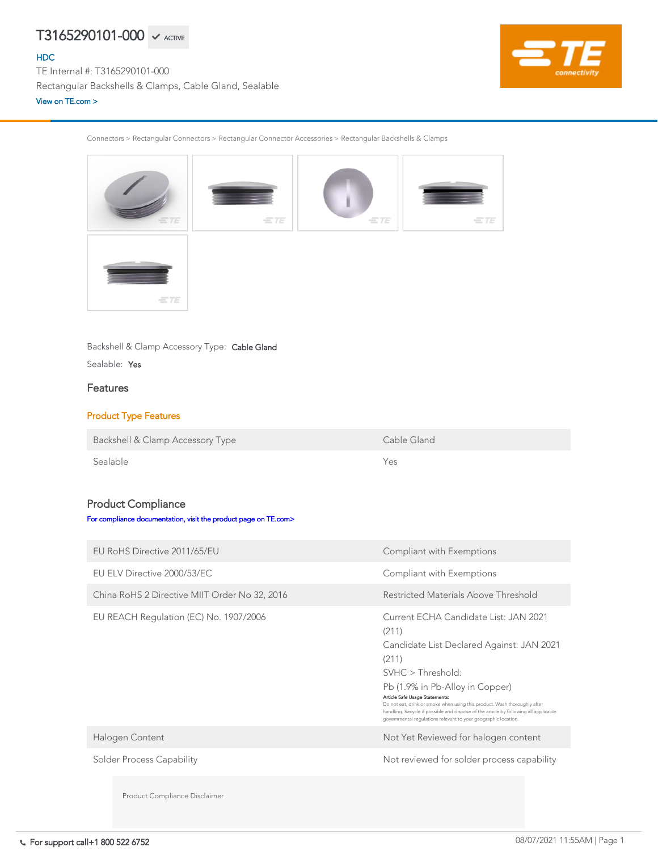Connectors > Rectangular Connectors > Rectangular Connector Accessories > Rectangular Backshells & Clamps



Backshell & Clamp Accessory Type: Cable Gland

Sealable: Yes

### Features

### Product Type Features

Backshell & Clamp Accessory Type Cable Gland

Sealable Yes

### Product Compliance

[For compliance documentation, visit the product page on TE.com>](https://www.te.com/usa-en/product-T3165290101-000.html)

| EU RoHS Directive 2011/65/EU                  | Compliant with Exemptions                                                                                                                                                                                                                                                                                                                                                                                                             |
|-----------------------------------------------|---------------------------------------------------------------------------------------------------------------------------------------------------------------------------------------------------------------------------------------------------------------------------------------------------------------------------------------------------------------------------------------------------------------------------------------|
| EU ELV Directive 2000/53/EC                   | Compliant with Exemptions                                                                                                                                                                                                                                                                                                                                                                                                             |
| China RoHS 2 Directive MIIT Order No 32, 2016 | Restricted Materials Above Threshold                                                                                                                                                                                                                                                                                                                                                                                                  |
| EU REACH Regulation (EC) No. 1907/2006        | Current ECHA Candidate List: JAN 2021<br>(211)<br>Candidate List Declared Against: JAN 2021<br>(211)<br>SVHC > Threshold:<br>Pb (1.9% in Pb-Alloy in Copper)<br>Article Safe Usage Statements:<br>Do not eat, drink or smoke when using this product. Wash thoroughly after<br>handling. Recycle if possible and dispose of the article by following all applicable<br>governmental regulations relevant to your geographic location. |
| Halogen Content                               | Not Yet Reviewed for halogen content                                                                                                                                                                                                                                                                                                                                                                                                  |
| <b>Solder Process Capability</b>              | Not reviewed for solder process capability                                                                                                                                                                                                                                                                                                                                                                                            |
| Product Compliance Disclaimer                 |                                                                                                                                                                                                                                                                                                                                                                                                                                       |

# $T3165290101$ -000  $\checkmark$  active

[HDC](https://www.te.com/usa-en/plp/ZnG6.html)

TE Internal #: T3165290101-000 Rectangular Backshells & Clamps, Cable Gland, Sealable [View on TE.com >](https://www.te.com/usa-en/product-T3165290101-000.html)

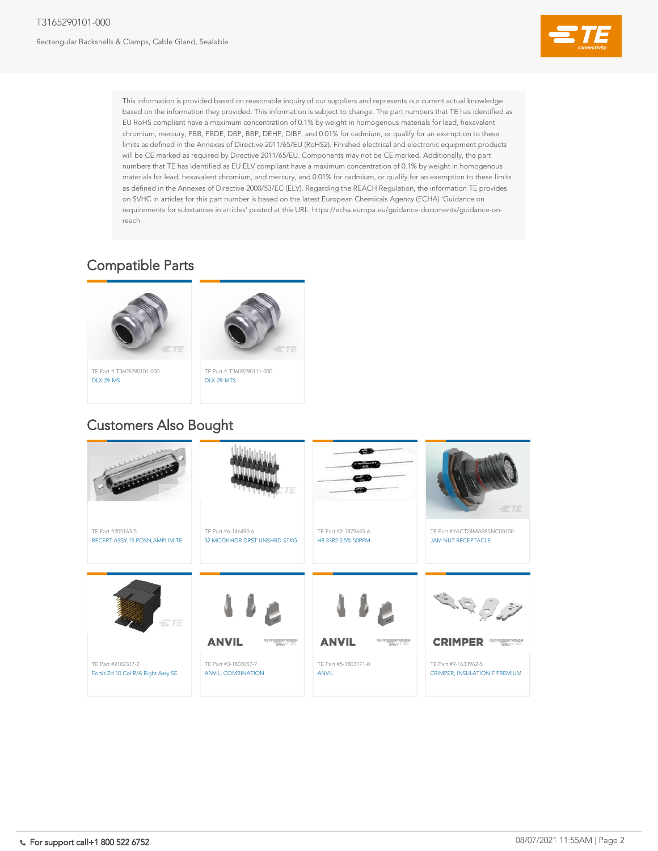### T3165290101-000

Rectangular Backshells & Clamps, Cable Gland, Sealable



This information is provided based on reasonable inquiry of our suppliers and represents our current actual knowledge based on the information they provided. This information is subject to change. The part numbers that TE has identified as EU RoHS compliant have a maximum concentration of 0.1% by weight in homogenous materials for lead, hexavalent chromium, mercury, PBB, PBDE, DBP, BBP, DEHP, DIBP, and 0.01% for cadmium, or qualify for an exemption to these limits as defined in the Annexes of Directive 2011/65/EU (RoHS2). Finished electrical and electronic equipment products will be CE marked as required by Directive 2011/65/EU. Components may not be CE marked. Additionally, the part numbers that TE has identified as EU ELV compliant have a maximum concentration of 0.1% by weight in homogenous materials for lead, hexavalent chromium, and mercury, and 0.01% for cadmium, or qualify for an exemption to these limits as defined in the Annexes of Directive 2000/53/EC (ELV). Regarding the REACH Regulation, the information TE provides on SVHC in articles for this part number is based on the latest European Chemicals Agency (ECHA) 'Guidance on requirements for substances in articles' posted at this URL: https://echa.europa.eu/guidance-documents/guidance-onreach











TE Part # T3609290101-000 [DLX-29-MS](https://www.te.com/usa-en/product-T3609290101-000.html)

## Compatible Parts



# Customers Also Bought